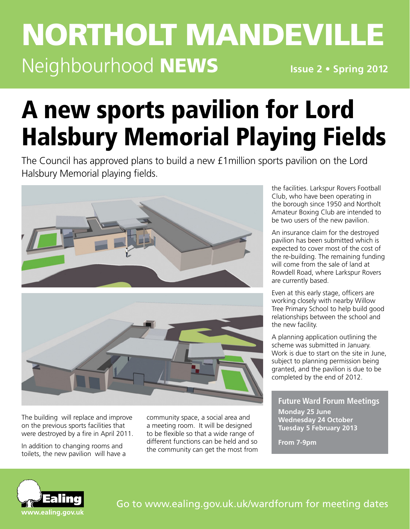## **Issue 2 • Spring 2012** northolt mandeville Neighbourhood NEWS

# A new sports pavilion for Lord Halsbury Memorial Playing Fields

The Council has approved plans to build a new £1million sports pavilion on the Lord Halsbury Memorial playing fields.





The building will replace and improve on the previous sports facilities that were destroyed by a fire in April 2011.

In addition to changing rooms and toilets, the new pavilion will have a community space, a social area and a meeting room. It will be designed to be flexible so that a wide range of different functions can be held and so the community can get the most from the facilities. Larkspur Rovers Football Club, who have been operating in the borough since 1950 and Northolt Amateur Boxing Club are intended to be two users of the new pavilion.

An insurance claim for the destroyed pavilion has been submitted which is expected to cover most of the cost of the re-building. The remaining funding will come from the sale of land at Rowdell Road, where Larkspur Rovers are currently based.

Even at this early stage, officers are working closely with nearby Willow Tree Primary School to help build good relationships between the school and the new facility.

A planning application outlining the scheme was submitted in January. Work is due to start on the site in June, subject to planning permission being granted, and the pavilion is due to be completed by the end of 2012.

### **Future Ward Forum Meetings**

**Monday 25 June Wednesday 24 October Tuesday 5 February 2013**

**From 7-9pm**

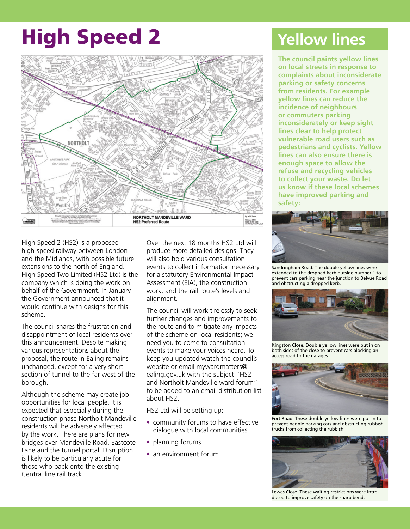# High Speed 2



High Speed 2 (HS2) is a proposed high-speed railway between London and the Midlands, with possible future extensions to the north of England. High Speed Two Limited (HS2 Ltd) is the company which is doing the work on behalf of the Government. In January the Government announced that it would continue with designs for this scheme.

The council shares the frustration and disappointment of local residents over this announcement. Despite making various representations about the proposal, the route in Ealing remains unchanged, except for a very short section of tunnel to the far west of the borough.

Although the scheme may create job opportunities for local people, it is expected that especially during the construction phase Northolt Mandeville residents will be adversely affected by the work. There are plans for new bridges over Mandeville Road, Eastcote Lane and the tunnel portal. Disruption is likely to be particularly acute for those who back onto the existing Central line rail track.

Over the next 18 months HS2 Ltd will produce more detailed designs. They will also hold various consultation events to collect information necessary for a statutory Environmental Impact Assessment (EIA), the construction work, and the rail route's levels and alignment.

The council will work tirelessly to seek further changes and improvements to the route and to mitigate any impacts of the scheme on local residents; we need you to come to consultation events to make your voices heard. To keep you updated watch the council's website or email mywardmatters@ ealing.gov.uk with the subject "HS2 and Northolt Mandeville ward forum" to be added to an email distribution list about HS2.

HS2 Ltd will be setting up:

- community forums to have effective dialogue with local communities
- planning forums
- an environment forum

## **Yellow lines**

**The council paints yellow lines on local streets in response to complaints about inconsiderate parking or safety concerns from residents. For example yellow lines can reduce the incidence of neighbours or commuters parking inconsiderately or keep sight lines clear to help protect vulnerable road users such as pedestrians and cyclists. Yellow lines can also ensure there is enough space to allow the refuse and recycling vehicles to collect your waste. Do let us know if these local schemes have improved parking and safety:** 



Sandringham Road. The double yellow lines were extended to the dropped kerb outside number 1 to prevent cars parking near the junction to Belvue Road and obstructing a dropped kerb.



Kingston Close. Double yellow lines were put in on both sides of the close to prevent cars blocking an access road to the garages.



Fort Road. These double yellow lines were put in to prevent people parking cars and obstructing rubbish trucks from collecting the rubbish.



Lewes Close. These waiting restrictions were introduced to improve safety on the sharp bend.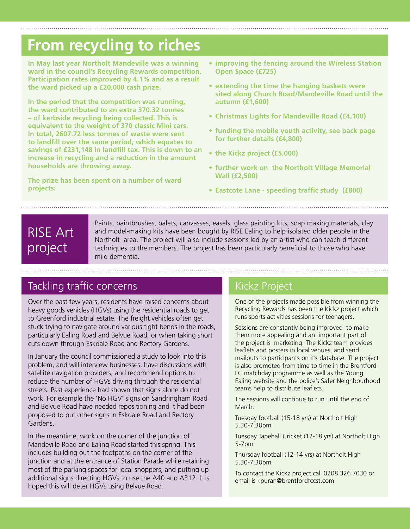## **From recycling to riches**

**In May last year Northolt Mandeville was a winning ward in the council's Recycling Rewards competition. Participation rates improved by 4.1% and as a result the ward picked up a £20,000 cash prize.**

**In the period that the competition was running, the ward contributed to an extra 370.32 tonnes – of kerbside recycling being collected. This is equivalent to the weight of 370 classic Mini cars. In total, 2607.72 less tonnes of waste were sent to landfill over the same period, which equates to savings of £231,148 in landfill tax. This is down to an increase in recycling and a reduction in the amount households are throwing away.**

**The prize has been spent on a number of ward projects:**

- **• improving the fencing around the Wireless Station Open Space (£725)**
- **• extending the time the hanging baskets were sited along Church Road/Mandeville Road until the autumn (£1,600)**
- **• Christmas Lights for Mandeville Road (£4,100)**
- **• funding the mobile youth activity, see back page for further details (£4,800)**
- **• the Kickz project (£5,000)**
- **• further work on the Northolt Village Memorial Wall (£2,500)**
- **• Eastcote Lane speeding traffic study (£800)**

## RISE Art project

Paints, paintbrushes, palets, canvasses, easels, glass painting kits, soap making materials, clay and model-making kits have been bought by RISE Ealing to help isolated older people in the Northolt area. The project will also include sessions led by an artist who can teach different techniques to the members. The project has been particularly beneficial to those who have mild dementia.

## Tackling traffic concerns Kickz Project

Over the past few years, residents have raised concerns about heavy goods vehicles (HGVs) using the residential roads to get to Greenford industrial estate. The freight vehicles often get stuck trying to navigate around various tight bends in the roads, particularly Ealing Road and Belvue Road, or when taking short cuts down through Eskdale Road and Rectory Gardens.

In January the council commissioned a study to look into this problem, and will interview businesses, have discussions with satellite navigation providers, and recommend options to reduce the number of HGVs driving through the residential streets. Past experience had shown that signs alone do not work. For example the 'No HGV' signs on Sandringham Road and Belvue Road have needed repositioning and it had been proposed to put other signs in Eskdale Road and Rectory Gardens.

In the meantime, work on the corner of the junction of Mandeville Road and Ealing Road started this spring. This includes building out the footpaths on the corner of the junction and at the entrance of Station Parade while retaining most of the parking spaces for local shoppers, and putting up additional signs directing HGVs to use the A40 and A312. It is hoped this will deter HGVs using Belvue Road.

One of the projects made possible from winning the Recycling Rewards has been the Kickz project which runs sports activities sessions for teenagers.

Sessions are constantly being improved to make them more appealing and an important part of the project is marketing. The Kickz team provides leaflets and posters in local venues, and send mailouts to participants on it's database. The project is also promoted from time to time in the Brentford FC matchday programme as well as the Young Ealing website and the police's Safer Neighbourhood teams help to distribute leaflets.

The sessions will continue to run until the end of March:

Tuesday football (15-18 yrs) at Northolt High 5.30-7.30pm

Tuesday Tapeball Cricket (12-18 yrs) at Northolt High 5-7pm

Thursday football (12-14 yrs) at Northolt High 5.30-7.30pm

To contact the Kickz project call 0208 326 7030 or email is kpuran@brentfordfccst.com